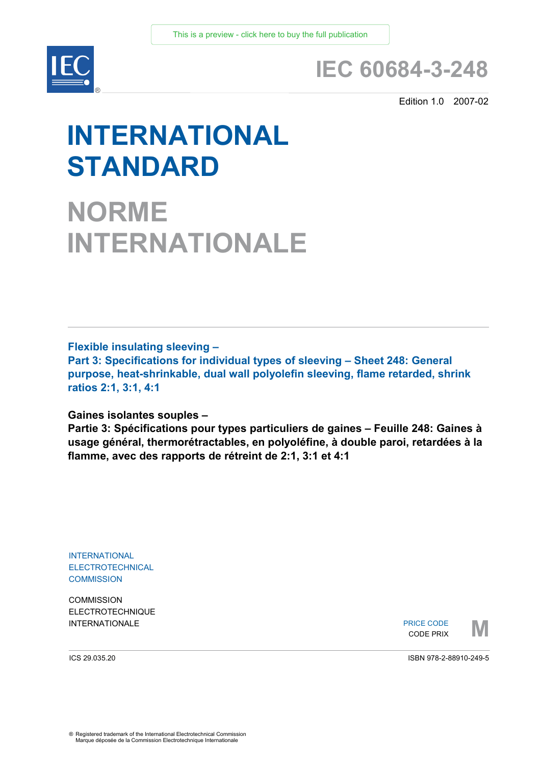

## **IEC 60684-3-248**

Edition 1.0 2007-02

# **INTERNATIONAL STANDARD**

**NORME INTERNATIONALE**

**Flexible insulating sleeving –** 

**Part 3: Specifications for individual types of sleeving – Sheet 248: General purpose, heat-shrinkable, dual wall polyolefin sleeving, flame retarded, shrink ratios 2:1, 3:1, 4:1** 

#### **Gaines isolantes souples –**

**Partie 3: Spécifications pour types particuliers de gaines – Feuille 248: Gaines à usage général, thermorétractables, en polyoléfine, à double paroi, retardées à la flamme, avec des rapports de rétreint de 2:1, 3:1 et 4:1** 

INTERNATIONAL ELECTROTECHNICAL **COMMISSION** 

**COMMISSION** ELECTROTECHNIQUE

INTERNATIONALE PRICE CODE **MANUSCRIPS** PRICE CODE CODE PRIX



ICS 29.035.20

ISBN 978-2-88910-249-5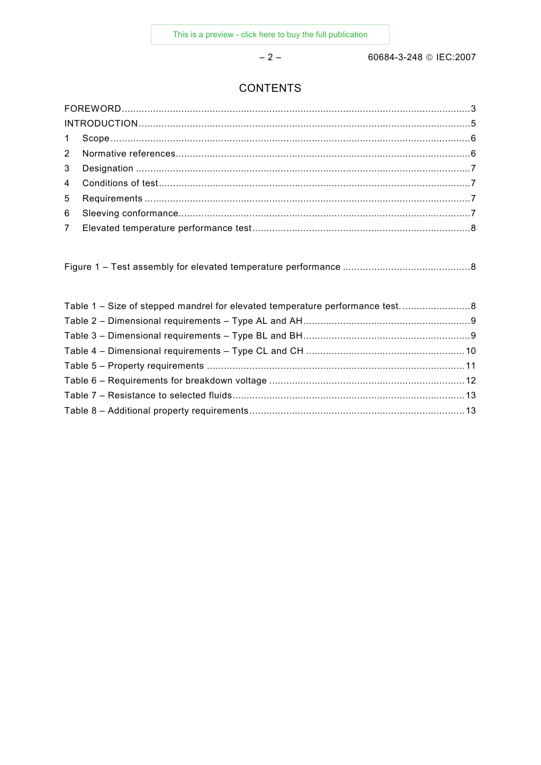$-2-$ 

60684-3-248 © IEC:2007

### CONTENTS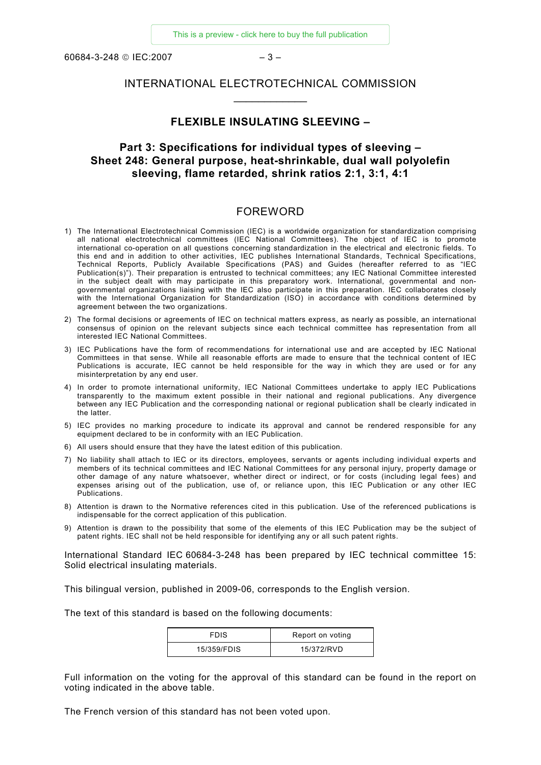<span id="page-2-0"></span> $60684 - 3 - 248$  © IFC: 2007 – 3 –

#### INTERNATIONAL ELECTROTECHNICAL COMMISSION  $\frac{1}{2}$

#### **FLEXIBLE INSULATING SLEEVING –**

#### **Part 3: Specifications for individual types of sleeving – Sheet 248: General purpose, heat-shrinkable, dual wall polyolefin sleeving, flame retarded, shrink ratios 2:1, 3:1, 4:1**

#### FOREWORD

- 1) The International Electrotechnical Commission (IEC) is a worldwide organization for standardization comprising all national electrotechnical committees (IEC National Committees). The object of IEC is to promote international co-operation on all questions concerning standardization in the electrical and electronic fields. To this end and in addition to other activities, IEC publishes International Standards, Technical Specifications, Technical Reports, Publicly Available Specifications (PAS) and Guides (hereafter referred to as "IEC Publication(s)"). Their preparation is entrusted to technical committees; any IEC National Committee interested in the subject dealt with may participate in this preparatory work. International, governmental and nongovernmental organizations liaising with the IEC also participate in this preparation. IEC collaborates closely with the International Organization for Standardization (ISO) in accordance with conditions determined by agreement between the two organizations.
- 2) The formal decisions or agreements of IEC on technical matters express, as nearly as possible, an international consensus of opinion on the relevant subjects since each technical committee has representation from all interested IEC National Committees.
- 3) IEC Publications have the form of recommendations for international use and are accepted by IEC National Committees in that sense. While all reasonable efforts are made to ensure that the technical content of IEC Publications is accurate, IEC cannot be held responsible for the way in which they are used or for any misinterpretation by any end user.
- 4) In order to promote international uniformity, IEC National Committees undertake to apply IEC Publications transparently to the maximum extent possible in their national and regional publications. Any divergence between any IEC Publication and the corresponding national or regional publication shall be clearly indicated in the latter.
- 5) IEC provides no marking procedure to indicate its approval and cannot be rendered responsible for any equipment declared to be in conformity with an IEC Publication.
- 6) All users should ensure that they have the latest edition of this publication.
- 7) No liability shall attach to IEC or its directors, employees, servants or agents including individual experts and members of its technical committees and IEC National Committees for any personal injury, property damage or other damage of any nature whatsoever, whether direct or indirect, or for costs (including legal fees) and expenses arising out of the publication, use of, or reliance upon, this IEC Publication or any other IEC Publications.
- 8) Attention is drawn to the Normative references cited in this publication. Use of the referenced publications is indispensable for the correct application of this publication.
- 9) Attention is drawn to the possibility that some of the elements of this IEC Publication may be the subject of patent rights. IEC shall not be held responsible for identifying any or all such patent rights.

International Standard IEC 60684-3-248 has been prepared by IEC technical committee 15: Solid electrical insulating materials.

This bilingual version, published in 2009-06, corresponds to the English version.

The text of this standard is based on the following documents:

| <b>FDIS</b> | Report on voting |
|-------------|------------------|
| 15/359/FDIS | 15/372/RVD       |

Full information on the voting for the approval of this standard can be found in the report on voting indicated in the above table.

The French version of this standard has not been voted upon.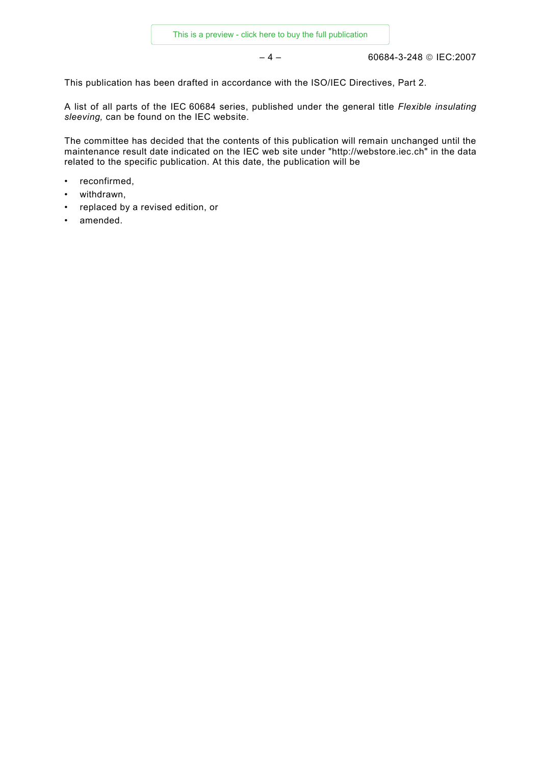– 4 – 60684-3-248 © IEC:2007

This publication has been drafted in accordance with the ISO/IEC Directives, Part 2.

A list of all parts of the IEC 60684 series, published under the general title *Flexible insulating sleeving,* can be found on the IEC website.

The committee has decided that the contents of this publication will remain unchanged until the maintenance result date indicated on the IEC web site under "http://webstore.iec.ch" in the data related to the specific publication. At this date, the publication will be

- reconfirmed,
- withdrawn,
- replaced by a revised edition, or
- amended.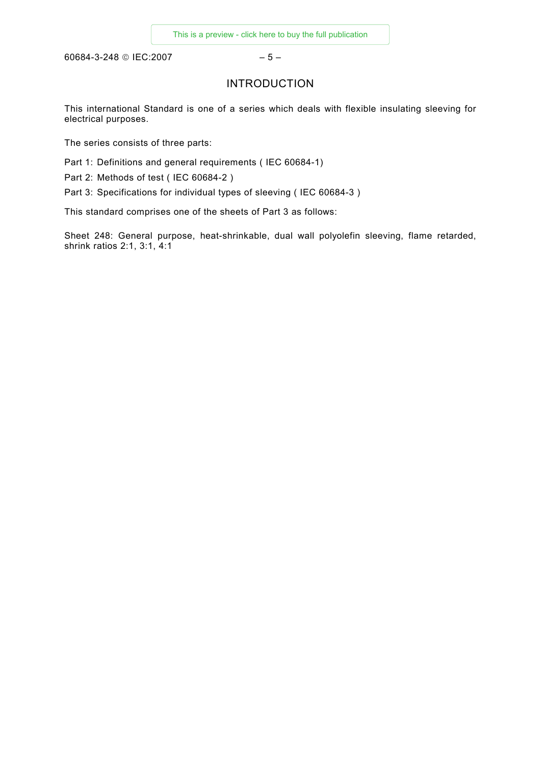<span id="page-4-0"></span>60684-3-248 © IEC:2007 – 5 –

#### INTRODUCTION

This international Standard is one of a series which deals with flexible insulating sleeving for electrical purposes.

The series consists of three parts:

Part 1: Definitions and general requirements ( IEC 60684-1)

Part 2: Methods of test ( IEC 60684-2 )

Part 3: Specifications for individual types of sleeving ( IEC 60684-3 )

This standard comprises one of the sheets of Part 3 as follows:

Sheet 248: General purpose, heat-shrinkable, dual wall polyolefin sleeving, flame retarded, shrink ratios 2:1, 3:1, 4:1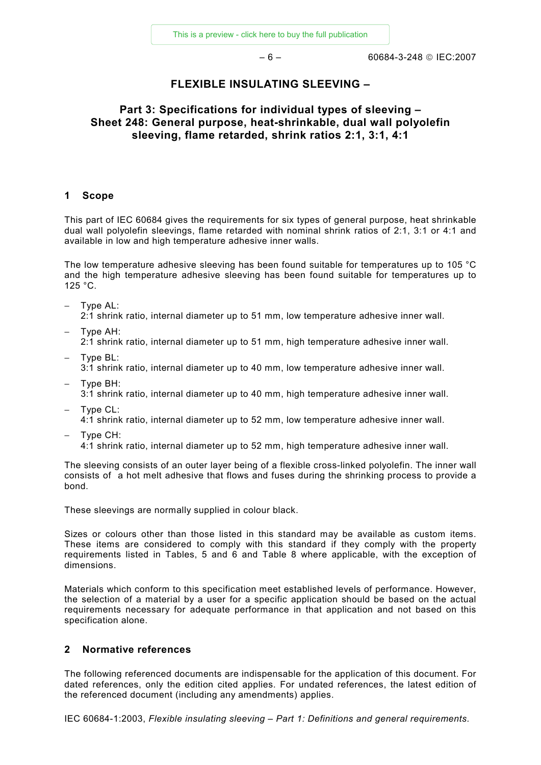#### **FLEXIBLE INSULATING SLEEVING –**

#### <span id="page-5-0"></span>**Part 3: Specifications for individual types of sleeving – Sheet 248: General purpose, heat-shrinkable, dual wall polyolefin sleeving, flame retarded, shrink ratios 2:1, 3:1, 4:1**

#### **1 Scope**

This part of IEC 60684 gives the requirements for six types of general purpose, heat shrinkable dual wall polyolefin sleevings, flame retarded with nominal shrink ratios of 2:1, 3:1 or 4:1 and available in low and high temperature adhesive inner walls.

The low temperature adhesive sleeving has been found suitable for temperatures up to 105 °C and the high temperature adhesive sleeving has been found suitable for temperatures up to 125 °C.

− Type AL:

2:1 shrink ratio, internal diameter up to 51 mm, low temperature adhesive inner wall.

- − Type AH: 2:1 shrink ratio, internal diameter up to 51 mm, high temperature adhesive inner wall.
- − Type BL: 3:1 shrink ratio, internal diameter up to 40 mm, low temperature adhesive inner wall.
- − Type BH: 3:1 shrink ratio, internal diameter up to 40 mm, high temperature adhesive inner wall.
- − Type CL: 4:1 shrink ratio, internal diameter up to 52 mm, low temperature adhesive inner wall.
- − Type CH:
	- 4:1 shrink ratio, internal diameter up to 52 mm, high temperature adhesive inner wall.

The sleeving consists of an outer layer being of a flexible cross-linked polyolefin. The inner wall consists of a hot melt adhesive that flows and fuses during the shrinking process to provide a bond.

These sleevings are normally supplied in colour black.

Sizes or colours other than those listed in this standard may be available as custom items. These items are considered to comply with this standard if they comply with the property requirements listed in Tables, 5 and 6 and Table 8 where applicable, with the exception of dimensions.

Materials which conform to this specification meet established levels of performance. However, the selection of a material by a user for a specific application should be based on the actual requirements necessary for adequate performance in that application and not based on this specification alone.

#### **2 Normative references**

The following referenced documents are indispensable for the application of this document. For dated references, only the edition cited applies. For undated references, the latest edition of the referenced document (including any amendments) applies.

IEC 60684-1:2003, *Flexible insulating sleeving – Part 1: Definitions and general requirements.*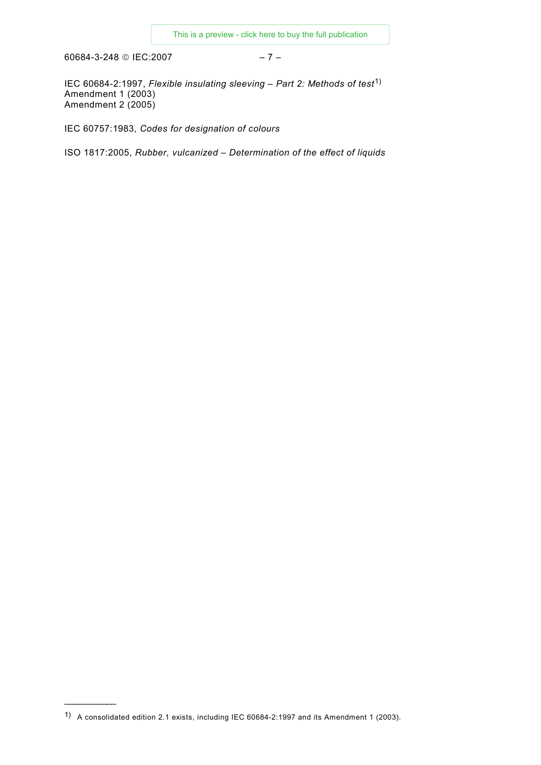<span id="page-6-0"></span>60684-3-248 © IEC:2007 – 7 –

IEC 60684-2:1997, *Flexible insulating sleeving* – *Part 2: Methods of test*[1\)](#page-6-1) Amendment 1 (2003) Amendment 2 (2005)

IEC 60757:1983, *Codes for designation of colours* 

ISO 1817:2005, *Rubber, vulcanized – Determination of the effect of liquids* 

 $\overline{\phantom{a}}$ 

<span id="page-6-1"></span><sup>1)</sup> A consolidated edition 2.1 exists, including IEC 60684-2:1997 and its Amendment 1 (2003).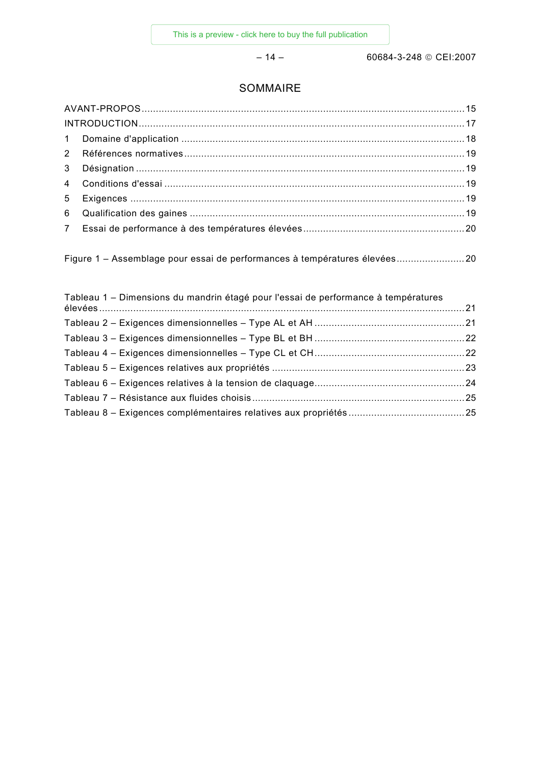– 14 – 60684-3-248 © CEI:2007

#### SOMMAIRE

| $\mathbf{3}$   |  |  |  |  |
|----------------|--|--|--|--|
|                |  |  |  |  |
| 5 <sup>1</sup> |  |  |  |  |
| 6.             |  |  |  |  |
|                |  |  |  |  |
|                |  |  |  |  |

Figure 1 – Assemblage pour essai de performances à températures élevées........................ 20

| Tableau 1 – Dimensions du mandrin étagé pour l'essai de performance à températures |  |
|------------------------------------------------------------------------------------|--|
|                                                                                    |  |
|                                                                                    |  |
|                                                                                    |  |
|                                                                                    |  |
|                                                                                    |  |
|                                                                                    |  |
|                                                                                    |  |
|                                                                                    |  |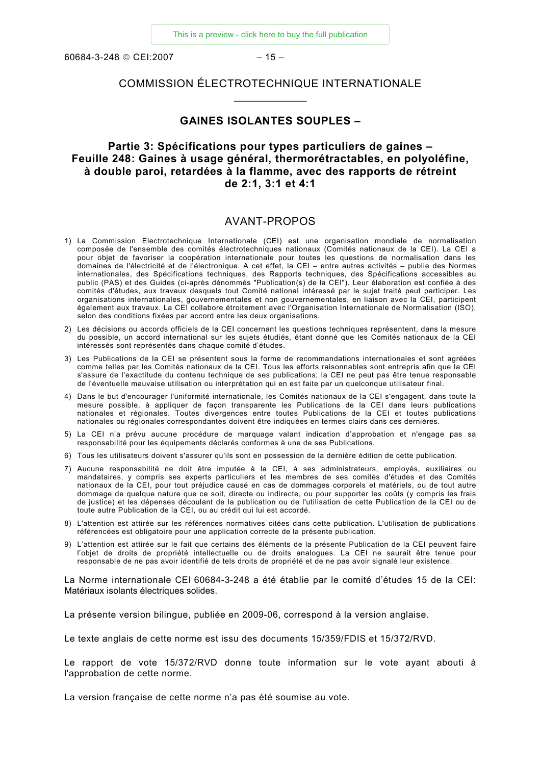<span id="page-8-0"></span>60684-3-248 © CEI:2007 – 15 –

#### COMMISSION ÉLECTROTECHNIQUE INTERNATIONALE  $\frac{1}{2}$  ,  $\frac{1}{2}$  ,  $\frac{1}{2}$  ,  $\frac{1}{2}$  ,  $\frac{1}{2}$  ,  $\frac{1}{2}$

#### **GAINES ISOLANTES SOUPLES –**

#### **Partie 3: Spécifications pour types particuliers de gaines – Feuille 248: Gaines à usage général, thermorétractables, en polyoléfine, à double paroi, retardées à la flamme, avec des rapports de rétreint de 2:1, 3:1 et 4:1**

#### AVANT-PROPOS

- 1) La Commission Electrotechnique Internationale (CEI) est une organisation mondiale de normalisation composée de l'ensemble des comités électrotechniques nationaux (Comités nationaux de la CEI). La CEI a pour objet de favoriser la coopération internationale pour toutes les questions de normalisation dans les domaines de l'électricité et de l'électronique. A cet effet, la CEI – entre autres activités – publie des Normes internationales, des Spécifications techniques, des Rapports techniques, des Spécifications accessibles au public (PAS) et des Guides (ci-après dénommés "Publication(s) de la CEI"). Leur élaboration est confiée à des comités d'études, aux travaux desquels tout Comité national intéressé par le sujet traité peut participer. Les organisations internationales, gouvernementales et non gouvernementales, en liaison avec la CEI, participent également aux travaux. La CEI collabore étroitement avec l'Organisation Internationale de Normalisation (ISO), selon des conditions fixées par accord entre les deux organisations.
- 2) Les décisions ou accords officiels de la CEI concernant les questions techniques représentent, dans la mesure du possible, un accord international sur les sujets étudiés, étant donné que les Comités nationaux de la CEI intéressés sont représentés dans chaque comité d'études.
- 3) Les Publications de la CEI se présentent sous la forme de recommandations internationales et sont agréées comme telles par les Comités nationaux de la CEI. Tous les efforts raisonnables sont entrepris afin que la CEI s'assure de l'exactitude du contenu technique de ses publications; la CEI ne peut pas être tenue responsable de l'éventuelle mauvaise utilisation ou interprétation qui en est faite par un quelconque utilisateur final.
- 4) Dans le but d'encourager l'uniformité internationale, les Comités nationaux de la CEI s'engagent, dans toute la mesure possible, à appliquer de façon transparente les Publications de la CEI dans leurs publications nationales et régionales. Toutes divergences entre toutes Publications de la CEI et toutes publications nationales ou régionales correspondantes doivent être indiquées en termes clairs dans ces dernières.
- 5) La CEI n'a prévu aucune procédure de marquage valant indication d'approbation et n'engage pas sa responsabilité pour les équipements déclarés conformes à une de ses Publications.
- 6) Tous les utilisateurs doivent s'assurer qu'ils sont en possession de la dernière édition de cette publication.
- 7) Aucune responsabilité ne doit être imputée à la CEI, à ses administrateurs, employés, auxiliaires ou mandataires, y compris ses experts particuliers et les membres de ses comités d'études et des Comités nationaux de la CEI, pour tout préjudice causé en cas de dommages corporels et matériels, ou de tout autre dommage de quelque nature que ce soit, directe ou indirecte, ou pour supporter les coûts (y compris les frais de justice) et les dépenses découlant de la publication ou de l'utilisation de cette Publication de la CEI ou de toute autre Publication de la CEI, ou au crédit qui lui est accordé.
- 8) L'attention est attirée sur les références normatives citées dans cette publication. L'utilisation de publications référencées est obligatoire pour une application correcte de la présente publication.
- 9) L'attention est attirée sur le fait que certains des éléments de la présente Publication de la CEI peuvent faire l'objet de droits de propriété intellectuelle ou de droits analogues. La CEI ne saurait être tenue pour responsable de ne pas avoir identifié de tels droits de propriété et de ne pas avoir signalé leur existence.

La Norme internationale CEI 60684-3-248 a été établie par le comité d'études 15 de la CEI: Matériaux isolants électriques solides.

La présente version bilingue, publiée en 2009-06, correspond à la version anglaise.

Le texte anglais de cette norme est issu des documents 15/359/FDIS et 15/372/RVD.

Le rapport de vote 15/372/RVD donne toute information sur le vote ayant abouti à l'approbation de cette norme.

La version française de cette norme n'a pas été soumise au vote.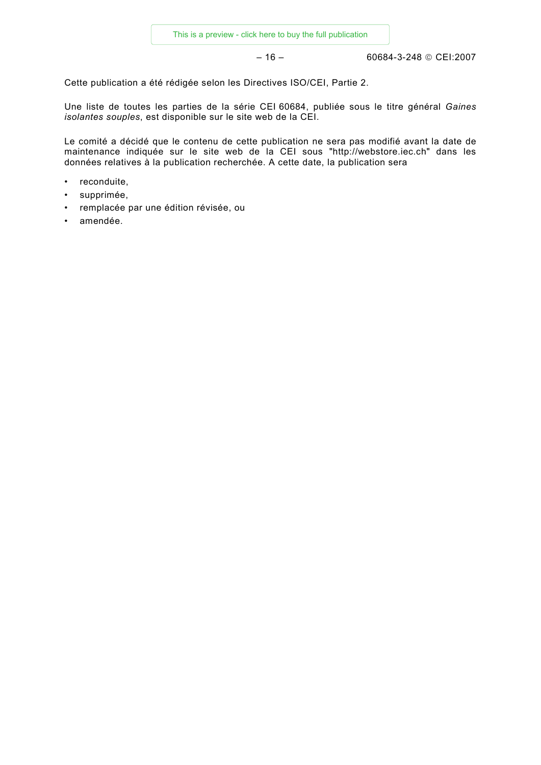– 16 – 60684-3-248 © CEI:2007

Cette publication a été rédigée selon les Directives ISO/CEI, Partie 2.

Une liste de toutes les parties de la série CEI 60684, publiée sous le titre général *Gaines isolantes souples*, est disponible sur le site web de la CEI.

Le comité a décidé que le contenu de cette publication ne sera pas modifié avant la date de maintenance indiquée sur le site web de la CEI sous "http://webstore.iec.ch" dans les données relatives à la publication recherchée. A cette date, la publication sera

- reconduite,
- supprimée,
- remplacée par une édition révisée, ou
- amendée.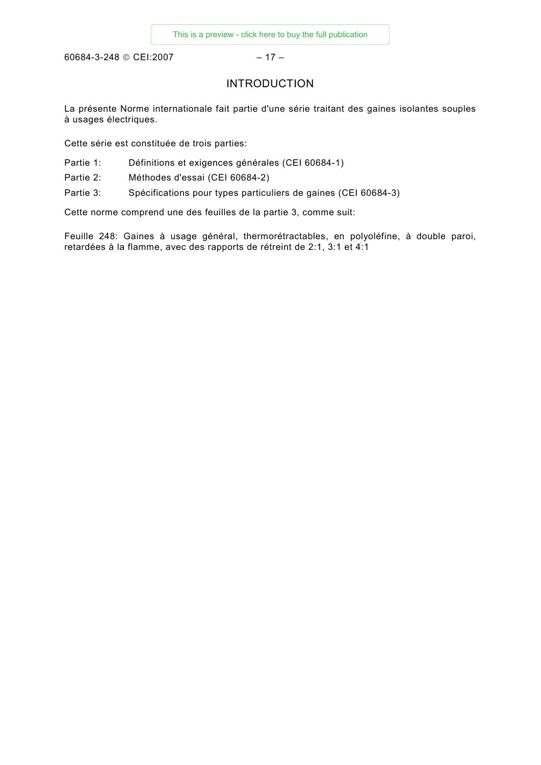<span id="page-10-0"></span>60684-3-248 © CEI:2007 – 17 –

#### INTRODUCTION

La présente Norme internationale fait partie d'une série traitant des gaines isolantes souples à usages électriques.

Cette série est constituée de trois parties:

- Partie 1: Définitions et exigences générales (CEI 60684-1)
- Partie 2: Méthodes d'essai (CEI 60684-2)
- Partie 3: Spécifications pour types particuliers de gaines (CEI 60684-3)

Cette norme comprend une des feuilles de la partie 3, comme suit:

Feuille 248: Gaines à usage général, thermorétractables, en polyoléfine, à double paroi, retardées à la flamme, avec des rapports de rétreint de 2:1, 3:1 et 4:1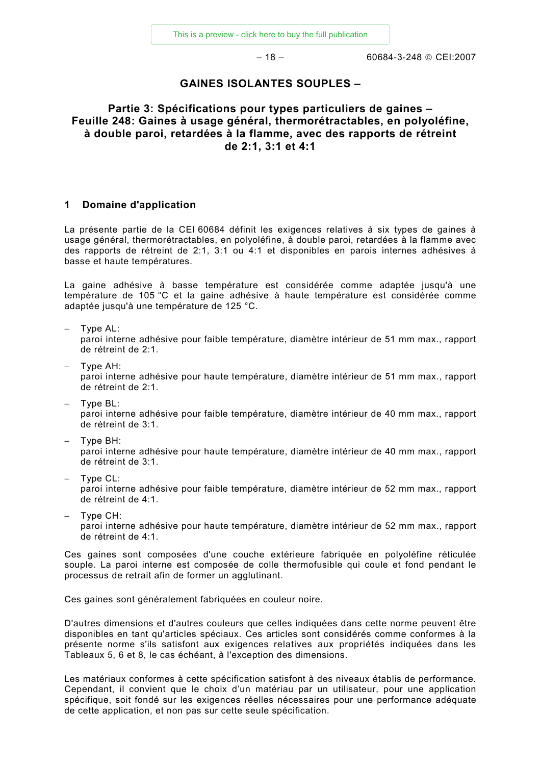– 18 – 60684-3-248 © CEI:2007

#### **GAINES ISOLANTES SOUPLES –**

#### <span id="page-11-0"></span>**Partie 3: Spécifications pour types particuliers de gaines – Feuille 248: Gaines à usage général, thermorétractables, en polyoléfine, à double paroi, retardées à la flamme, avec des rapports de rétreint de 2:1, 3:1 et 4:1**

#### **1 Domaine d'application**

La présente partie de la CEI 60684 définit les exigences relatives à six types de gaines à usage général, thermorétractables, en polyoléfine, à double paroi, retardées à la flamme avec des rapports de rétreint de 2:1, 3:1 ou 4:1 et disponibles en parois internes adhésives à basse et haute températures.

La gaine adhésive à basse température est considérée comme adaptée jusqu'à une température de 105 °C et la gaine adhésive à haute température est considérée comme adaptée jusqu'à une température de 125 °C.

− Type AL:

paroi interne adhésive pour faible température, diamètre intérieur de 51 mm max., rapport de rétreint de 2:1.

- − Type AH: paroi interne adhésive pour haute température, diamètre intérieur de 51 mm max., rapport de rétreint de 2:1.
- − Type BL:

paroi interne adhésive pour faible température, diamètre intérieur de 40 mm max., rapport de rétreint de 3:1.

− Type BH:

paroi interne adhésive pour haute température, diamètre intérieur de 40 mm max., rapport de rétreint de 3:1.

- − Type CL: paroi interne adhésive pour faible température, diamètre intérieur de 52 mm max., rapport de rétreint de 4:1.
- − Type CH: paroi interne adhésive pour haute température, diamètre intérieur de 52 mm max., rapport de rétreint de 4:1.

Ces gaines sont composées d'une couche extérieure fabriquée en polyoléfine réticulée souple. La paroi interne est composée de colle thermofusible qui coule et fond pendant le processus de retrait afin de former un agglutinant.

Ces gaines sont généralement fabriquées en couleur noire.

D'autres dimensions et d'autres couleurs que celles indiquées dans cette norme peuvent être disponibles en tant qu'articles spéciaux. Ces articles sont considérés comme conformes à la présente norme s'ils satisfont aux exigences relatives aux propriétés indiquées dans les Tableaux 5, 6 et 8, le cas échéant, à l'exception des dimensions.

Les matériaux conformes à cette spécification satisfont à des niveaux établis de performance. Cependant, il convient que le choix d'un matériau par un utilisateur, pour une application spécifique, soit fondé sur les exigences réelles nécessaires pour une performance adéquate de cette application, et non pas sur cette seule spécification.